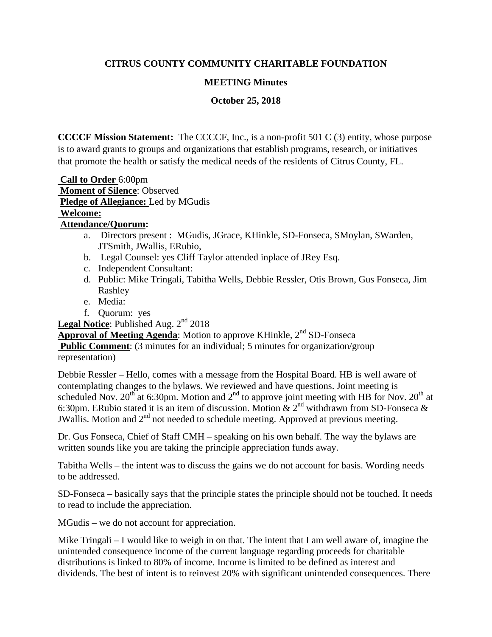## **CITRUS COUNTY COMMUNITY CHARITABLE FOUNDATION**

#### **MEETING Minutes**

**October 25, 2018**

**CCCCF Mission Statement:** The CCCCF, Inc., is a non-profit 501 C (3) entity, whose purpose is to award grants to groups and organizations that establish programs, research, or initiatives that promote the health or satisfy the medical needs of the residents of Citrus County, FL.

**Call to Order** 6:00pm **Moment of Silence**: Observed **Pledge of Allegiance:** Led by MGudis

# **Welcome:**

#### **Attendance/Quorum:**

- a. Directors present : MGudis, JGrace, KHinkle, SD-Fonseca, SMoylan, SWarden, JTSmith, JWallis, ERubio,
- b. Legal Counsel: yes Cliff Taylor attended inplace of JRey Esq.
- c. Independent Consultant:
- d. Public: Mike Tringali, Tabitha Wells, Debbie Ressler, Otis Brown, Gus Fonseca, Jim Rashley
- e. Media:
- f. Quorum: yes

Legal Notice: Published Aug. 2<sup>nd</sup> 2018

**Approval of Meeting Agenda:** Motion to approve KHinkle, 2<sup>nd</sup> SD-Fonseca

**Public Comment:** (3 minutes for an individual; 5 minutes for organization/group

#### representation)

Debbie Ressler – Hello, comes with a message from the Hospital Board. HB is well aware of contemplating changes to the bylaws. We reviewed and have questions. Joint meeting is scheduled Nov.  $20^{th}$  at 6:30pm. Motion and  $2^{nd}$  to approve joint meeting with HB for Nov.  $20^{th}$  at 6:30pm. ERubio stated it is an item of discussion. Motion  $\& 2^{nd}$  withdrawn from SD-Fonseca  $\&$ JWallis. Motion and 2<sup>nd</sup> not needed to schedule meeting. Approved at previous meeting.

Dr. Gus Fonseca, Chief of Staff CMH – speaking on his own behalf. The way the bylaws are written sounds like you are taking the principle appreciation funds away.

Tabitha Wells – the intent was to discuss the gains we do not account for basis. Wording needs to be addressed.

SD-Fonseca – basically says that the principle states the principle should not be touched. It needs to read to include the appreciation.

MGudis – we do not account for appreciation.

Mike Tringali – I would like to weigh in on that. The intent that I am well aware of, imagine the unintended consequence income of the current language regarding proceeds for charitable distributions is linked to 80% of income. Income is limited to be defined as interest and dividends. The best of intent is to reinvest 20% with significant unintended consequences. There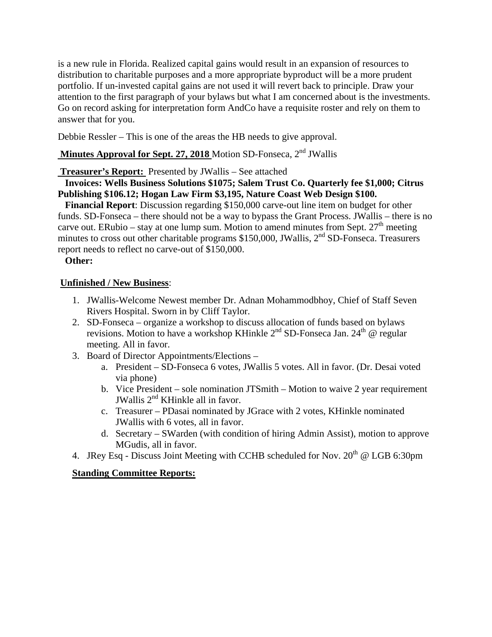is a new rule in Florida. Realized capital gains would result in an expansion of resources to distribution to charitable purposes and a more appropriate byproduct will be a more prudent portfolio. If un-invested capital gains are not used it will revert back to principle. Draw your attention to the first paragraph of your bylaws but what I am concerned about is the investments. Go on record asking for interpretation form AndCo have a requisite roster and rely on them to answer that for you.

Debbie Ressler – This is one of the areas the HB needs to give approval.

## **Minutes Approval for Sept. 27, 2018** Motion SD-Fonseca, 2<sup>nd</sup> JWallis

#### **Treasurer's Report:** Presented by JWallis – See attached

 **Invoices: Wells Business Solutions \$1075; Salem Trust Co. Quarterly fee \$1,000; Citrus Publishing \$106.12; Hogan Law Firm \$3,195, Nature Coast Web Design \$100.**

 **Financial Report**: Discussion regarding \$150,000 carve-out line item on budget for other funds. SD-Fonseca – there should not be a way to bypass the Grant Process. JWallis – there is no carve out. ERubio – stay at one lump sum. Motion to amend minutes from Sept.  $27<sup>th</sup>$  meeting minutes to cross out other charitable programs \$150,000, JWallis, 2<sup>nd</sup> SD-Fonseca. Treasurers report needs to reflect no carve-out of \$150,000.

#### **Other:**

#### **Unfinished / New Business**:

- 1. JWallis-Welcome Newest member Dr. Adnan Mohammodbhoy, Chief of Staff Seven Rivers Hospital. Sworn in by Cliff Taylor.
- 2. SD-Fonseca organize a workshop to discuss allocation of funds based on bylaws revisions. Motion to have a workshop KHinkle  $2<sup>nd</sup>$  SD-Fonseca Jan.  $24<sup>th</sup>$  @ regular meeting. All in favor.
- 3. Board of Director Appointments/Elections
	- a. President SD-Fonseca 6 votes, JWallis 5 votes. All in favor. (Dr. Desai voted via phone)
	- b. Vice President sole nomination JTSmith Motion to waive 2 year requirement JWallis  $2<sup>nd</sup>$  KHinkle all in favor.
	- c. Treasurer PDasai nominated by JGrace with 2 votes, KHinkle nominated JWallis with 6 votes, all in favor.
	- d. Secretary SWarden (with condition of hiring Admin Assist), motion to approve MGudis, all in favor.
- 4. JRey Esq Discuss Joint Meeting with CCHB scheduled for Nov.  $20^{th}$  @ LGB 6:30pm

#### **Standing Committee Reports:**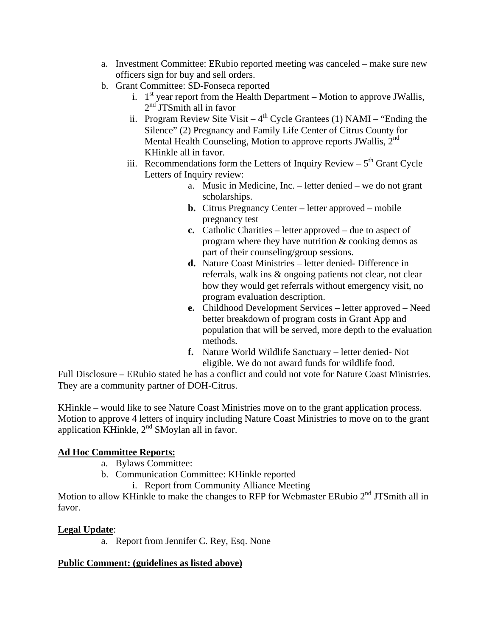- a. Investment Committee: ERubio reported meeting was canceled make sure new officers sign for buy and sell orders.
- b. Grant Committee: SD-Fonseca reported
	- i.  $1<sup>st</sup>$  year report from the Health Department Motion to approve JWallis,  $2<sup>nd</sup>$  JTSmith all in favor
	- ii. Program Review Site Visit  $4<sup>th</sup>$  Cycle Grantees (1) NAMI "Ending the Silence" (2) Pregnancy and Family Life Center of Citrus County for Mental Health Counseling, Motion to approve reports JWallis,  $2<sup>nd</sup>$ KHinkle all in favor.
	- iii. Recommendations form the Letters of Inquiry Review  $5<sup>th</sup>$  Grant Cycle Letters of Inquiry review:
		- a. Music in Medicine, Inc. letter denied we do not grant scholarships.
		- **b.** Citrus Pregnancy Center letter approved mobile pregnancy test
		- **c.** Catholic Charities letter approved due to aspect of program where they have nutrition & cooking demos as part of their counseling/group sessions.
		- **d.** Nature Coast Ministries letter denied- Difference in referrals, walk ins & ongoing patients not clear, not clear how they would get referrals without emergency visit, no program evaluation description.
		- **e.** Childhood Development Services letter approved Need better breakdown of program costs in Grant App and population that will be served, more depth to the evaluation methods.
		- **f.** Nature World Wildlife Sanctuary letter denied- Not eligible. We do not award funds for wildlife food.

Full Disclosure – ERubio stated he has a conflict and could not vote for Nature Coast Ministries. They are a community partner of DOH-Citrus.

KHinkle – would like to see Nature Coast Ministries move on to the grant application process. Motion to approve 4 letters of inquiry including Nature Coast Ministries to move on to the grant application KHinkle,  $2<sup>nd</sup>$  SMoylan all in favor.

# **Ad Hoc Committee Reports:**

- a. Bylaws Committee:
- b. Communication Committee: KHinkle reported
	- i. Report from Community Alliance Meeting

Motion to allow KHinkle to make the changes to RFP for Webmaster ERubio 2<sup>nd</sup> JTSmith all in favor.

#### **Legal Update**:

a. Report from Jennifer C. Rey, Esq. None

#### **Public Comment: (guidelines as listed above)**